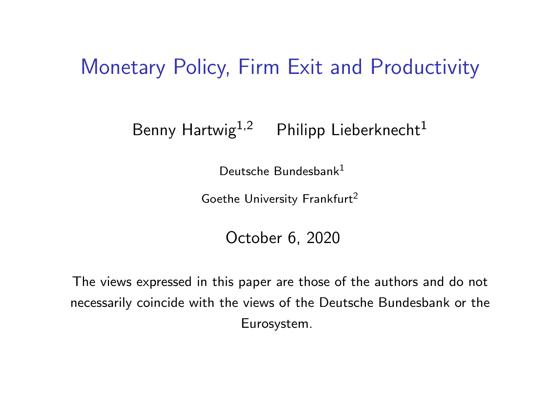#### Monetary Policy, Firm Exit and Productivity

#### Benny Hartwig<sup>1,2</sup> Philipp Lieberknecht<sup>1</sup>

Deutsche Bundesbank<sup>1</sup>

Goethe University Frankfurt<sup>2</sup>

October 6, 2020

The views expressed in this paper are those of the authors and do not necessarily coincide with the views of the Deutsche Bundesbank or the Eurosystem.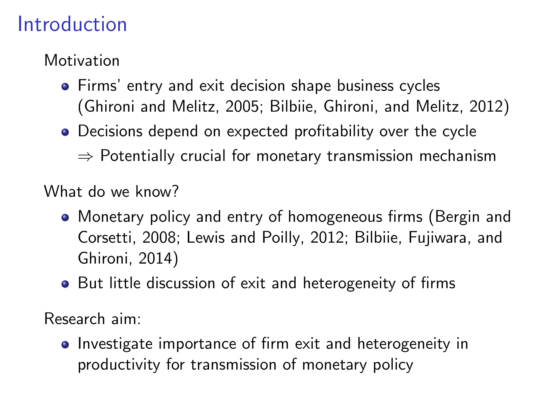### Introduction

Motivation

- **•** Firms' entry and exit decision shape business cycles [\(Ghironi and Melitz, 2005;](#page--1-0) [Bilbiie, Ghironi, and Melitz, 2012\)](#page--1-1)
- Decisions depend on expected profitability over the cycle
	- $\Rightarrow$  Potentially crucial for monetary transmission mechanism

What do we know?

- Monetary policy and entry of homogeneous firms [\(Bergin and](#page--1-2) [Corsetti, 2008;](#page--1-2) [Lewis and Poilly, 2012;](#page--1-3) [Bilbiie, Fujiwara, and](#page--1-4) [Ghironi, 2014\)](#page--1-4)
- But little discussion of exit and heterogeneity of firms

Research aim:

• Investigate importance of firm exit and heterogeneity in productivity for transmission of monetary policy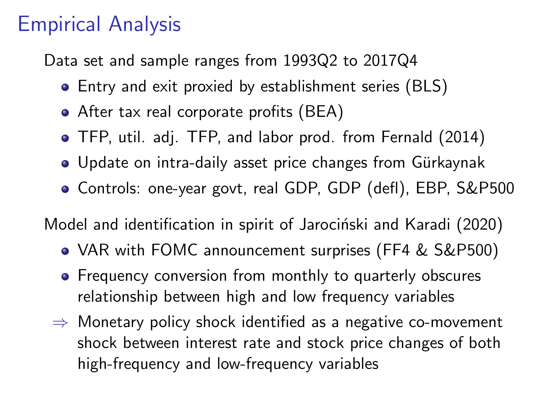### Empirical Analysis

Data set and sample ranges from 1993Q2 to 2017Q4

- Entry and exit proxied by establishment series (BLS)
- After tax real corporate profits (BEA)
- TFP, util. adj. TFP, and labor prod. from [Fernald \(2014\)](#page--1-5)
- Update on intra-daily asset price changes from Gürkaynak
- Controls: one-year govt, real GDP, GDP (defl), EBP, S&P500

Model and identification in spirit of Jarociński and Karadi (2020)

- VAR with FOMC announcement surprises (FF4 & S&P500)
- Frequency conversion from monthly to quarterly obscures relationship between high and low frequency variables
- $\Rightarrow$  Monetary policy shock identified as a negative co-movement shock between interest rate and stock price changes of both high-frequency and low-frequency variables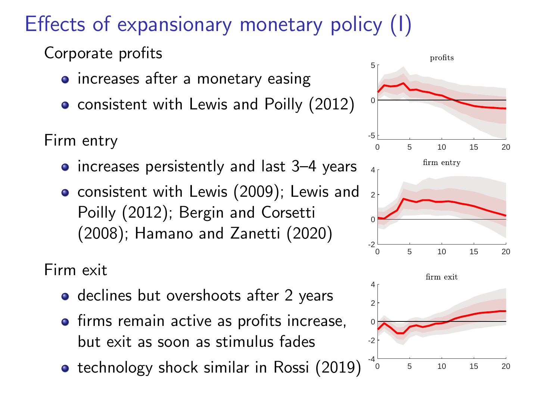# Effects of expansionary monetary policy (I)

Corporate profits

- increases after a monetary easing
- consistent with [Lewis and Poilly \(2012\)](#page--1-3)

Firm entry

- increases persistently and last 3–4 years
- **o** consistent with [Lewis \(2009\)](#page--1-7); [Lewis and](#page--1-3) [Poilly \(2012\)](#page--1-3); [Bergin and Corsetti](#page--1-2) [\(2008\)](#page--1-2); [Hamano and Zanetti \(2020\)](#page--1-8)

Firm exit

- declines but overshoots after 2 years
- **•** firms remain active as profits increase, but exit as soon as stimulus fades
- **•** technology shock similar in [Rossi \(2019\)](#page--1-9)

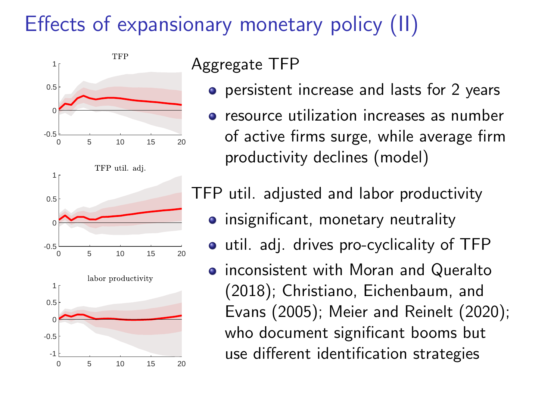# Effects of expansionary monetary policy (II)



#### Aggregate TFP

- **•** persistent increase and lasts for 2 years
- **•** resource utilization increases as number of active firms surge, while average firm productivity declines (model)

TFP util. adjusted and labor productivity

- **•** insignificant, monetary neutrality
- util. adj. drives pro-cyclicality of TFP
- **•** inconsistent with [Moran and Queralto](#page--1-10) [\(2018\)](#page--1-10); [Christiano, Eichenbaum, and](#page--1-11) [Evans \(2005\)](#page--1-11); [Meier and Reinelt \(2020\)](#page--1-12); who document significant booms but use different identification strategies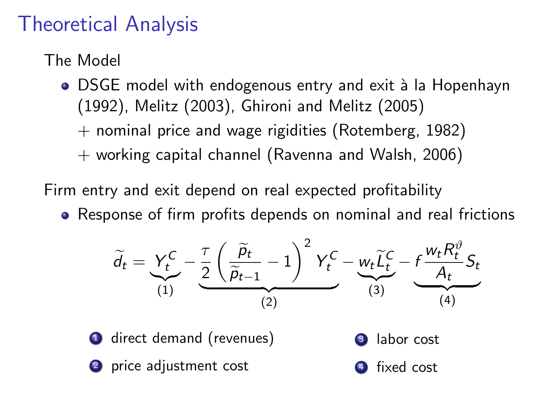### Theoretical Analysis

The Model

- DSGE model with endogenous entry and exit à la [Hopenhayn](#page--1-13) [\(1992\)](#page--1-13), [Melitz \(2003\)](#page--1-14), [Ghironi and Melitz \(2005\)](#page--1-0)
	- $+$  nominal price and wage rigidities [\(Rotemberg, 1982\)](#page--1-15)
	- + working capital channel [\(Ravenna and Walsh, 2006\)](#page--1-16)

Firm entry and exit depend on real expected profitability

• Response of firm profits depends on nominal and real frictions

$$
\widetilde{d}_t = \underbrace{Y_t^C}_{(1)} - \underbrace{\frac{\tau}{2} \left( \frac{\widetilde{p}_t}{\widetilde{p}_{t-1}} - 1 \right)^2 Y_t^C}_{(2)} - \underbrace{w_t \widetilde{L}_t^C}_{(3)} - \underbrace{f \frac{w_t R_t^{\vartheta}}{A_t} S_t}_{(4)}
$$

direct demand (revenues) 2 price adjustment cost <sup>3</sup> labor cost 4 fixed cost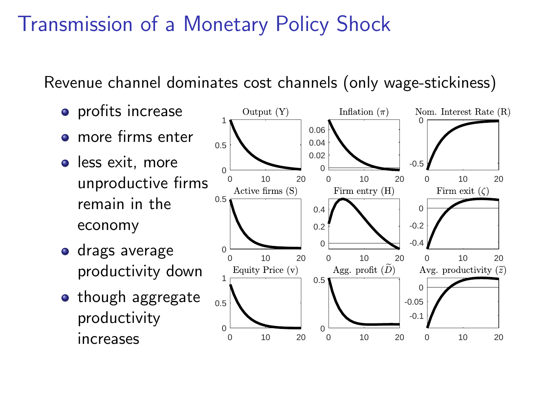### Transmission of a Monetary Policy Shock

Revenue channel dominates cost channels (only wage-stickiness)

- profits increase
- more firms enter
- less exit, more unproductive firms remain in the economy
- **o** drags average productivity down
- **•** though aggregate productivity increases